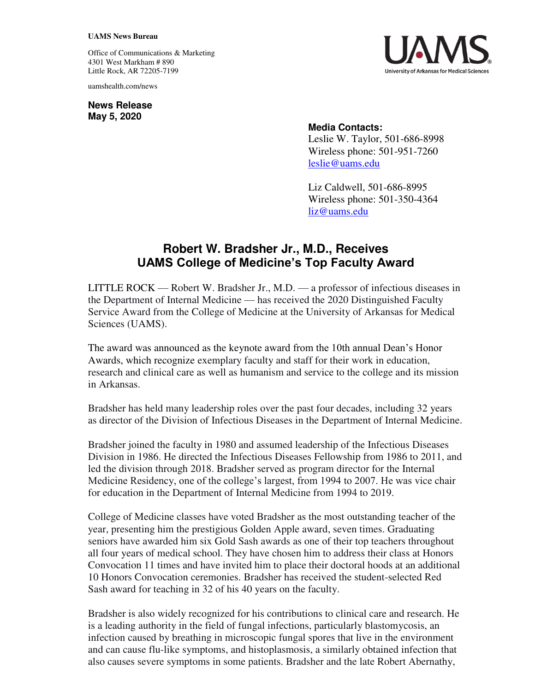## **UAMS News Bureau**

Office of Communications & Marketing 4301 West Markham # 890 Little Rock, AR 72205-7199

uamshealth.com/news

**News Release May 5, 2020**



## **Media Contacts:**

Leslie W. Taylor, 501-686-8998 Wireless phone: 501-951-7260 [leslie@uams.edu](mailto:leslie@uams.edu)

Liz Caldwell, 501-686-8995 Wireless phone: 501-350-4364 [liz@uams.edu](mailto:liz@uams.edu)

## **Robert W. Bradsher Jr., M.D., Receives UAMS College of Medicine's Top Faculty Award**

LITTLE ROCK — Robert W. Bradsher Jr., M.D. — a professor of infectious diseases in the Department of Internal Medicine — has received the 2020 Distinguished Faculty Service Award from the College of Medicine at the University of Arkansas for Medical Sciences (UAMS).

The award was announced as the keynote award from the 10th annual Dean's Honor Awards, which recognize exemplary faculty and staff for their work in education, research and clinical care as well as humanism and service to the college and its mission in Arkansas.

Bradsher has held many leadership roles over the past four decades, including 32 years as director of the Division of Infectious Diseases in the Department of Internal Medicine.

Bradsher joined the faculty in 1980 and assumed leadership of the Infectious Diseases Division in 1986. He directed the Infectious Diseases Fellowship from 1986 to 2011, and led the division through 2018. Bradsher served as program director for the Internal Medicine Residency, one of the college's largest, from 1994 to 2007. He was vice chair for education in the Department of Internal Medicine from 1994 to 2019.

College of Medicine classes have voted Bradsher as the most outstanding teacher of the year, presenting him the prestigious Golden Apple award, seven times. Graduating seniors have awarded him six Gold Sash awards as one of their top teachers throughout all four years of medical school. They have chosen him to address their class at Honors Convocation 11 times and have invited him to place their doctoral hoods at an additional 10 Honors Convocation ceremonies. Bradsher has received the student-selected Red Sash award for teaching in 32 of his 40 years on the faculty.

Bradsher is also widely recognized for his contributions to clinical care and research. He is a leading authority in the field of fungal infections, particularly blastomycosis, an infection caused by breathing in microscopic fungal spores that live in the environment and can cause flu-like symptoms, and histoplasmosis, a similarly obtained infection that also causes severe symptoms in some patients. Bradsher and the late Robert Abernathy,